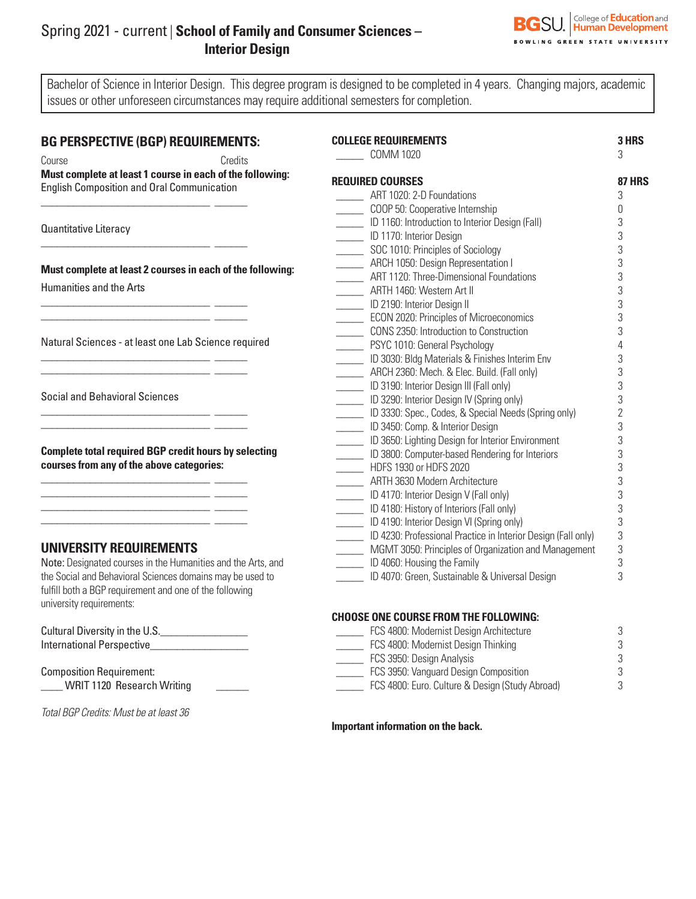## Spring 2021 - current | **School of Family and Consumer Sciences – Interior Design**



Bachelor of Science in Interior Design. This degree program is designed to be completed in 4 years. Changing majors, academic issues or other unforeseen circumstances may require additional semesters for completion.

## **BG PERSPECTIVE (BGP) REQUIREMENTS:**

| Course                                     | Credits                                                   |
|--------------------------------------------|-----------------------------------------------------------|
|                                            | Must complete at least 1 course in each of the following: |
| English Composition and Oral Communication |                                                           |

\_\_\_\_\_\_\_\_\_\_\_\_\_\_\_\_\_\_\_\_\_\_\_\_\_\_\_\_\_\_\_ \_\_\_\_\_\_

\_\_\_\_\_\_\_\_\_\_\_\_\_\_\_\_\_\_\_\_\_\_\_\_\_\_\_\_\_\_\_ \_\_\_\_\_\_ \_\_\_\_\_\_\_\_\_\_\_\_\_\_\_\_\_\_\_\_\_\_\_\_\_\_\_\_\_\_\_ \_\_\_\_\_\_

\_\_\_\_\_\_\_\_\_\_\_\_\_\_\_\_\_\_\_\_\_\_\_\_\_\_\_\_\_\_\_ \_\_\_\_\_\_ \_\_\_\_\_\_\_\_\_\_\_\_\_\_\_\_\_\_\_\_\_\_\_\_\_\_\_\_\_\_\_ \_\_\_\_\_\_

\_\_\_\_\_\_\_\_\_\_\_\_\_\_\_\_\_\_\_\_\_\_\_\_\_\_\_\_\_\_\_ \_\_\_\_\_\_  $\frac{1}{\sqrt{2}}$  ,  $\frac{1}{\sqrt{2}}$  ,  $\frac{1}{\sqrt{2}}$  ,  $\frac{1}{\sqrt{2}}$  ,  $\frac{1}{\sqrt{2}}$  ,  $\frac{1}{\sqrt{2}}$  ,  $\frac{1}{\sqrt{2}}$  ,  $\frac{1}{\sqrt{2}}$  ,  $\frac{1}{\sqrt{2}}$  ,  $\frac{1}{\sqrt{2}}$  ,  $\frac{1}{\sqrt{2}}$  ,  $\frac{1}{\sqrt{2}}$  ,  $\frac{1}{\sqrt{2}}$  ,  $\frac{1}{\sqrt{2}}$  ,  $\frac{1}{\sqrt{2}}$ 

\_\_\_\_\_\_\_\_\_\_\_\_\_\_\_\_\_\_\_\_\_\_\_\_\_\_\_\_\_\_\_ \_\_\_\_\_\_ \_\_\_\_\_\_\_\_\_\_\_\_\_\_\_\_\_\_\_\_\_\_\_\_\_\_\_\_\_\_\_ \_\_\_\_\_\_ \_\_\_\_\_\_\_\_\_\_\_\_\_\_\_\_\_\_\_\_\_\_\_\_\_\_\_\_\_\_\_ \_\_\_\_\_\_

Quantitative Literacy

**Must complete at least 2 courses in each of the following:**

 $\overline{\phantom{a}}$  , and the set of the set of the set of the set of the set of the set of the set of the set of the set of the set of the set of the set of the set of the set of the set of the set of the set of the set of the s

Humanities and the Arts

Natural Sciences - at least one Lab Science required

Social and Behavioral Sciences

**Complete total required BGP credit hours by selecting courses from any of the above categories:**

## **UNIVERSITY REQUIREMENTS**

Note: Designated courses in the Humanities and the Arts, and the Social and Behavioral Sciences domains may be used to fulfill both a BGP requirement and one of the following university requirements:

Cultural Diversity in the U.S.\_\_\_\_\_\_\_\_\_\_\_\_\_\_\_\_ International Perspective

Composition Requirement: \_\_\_\_ WRIT 1120 Research Writing \_\_\_\_\_\_

*Total BGP Credits: Must be at least 36*

| <b>COLLEGE REQUIREMENTS</b><br><b>COMM 1020</b>               | <b>3 HRS</b><br>3 |
|---------------------------------------------------------------|-------------------|
| <b>Required Courses</b>                                       | 87 HRS            |
| ART 1020: 2-D Foundations                                     | 3                 |
| COOP 50: Cooperative Internship                               | 0                 |
| ID 1160: Introduction to Interior Design (Fall)               | 3                 |
| ID 1170: Interior Design                                      | 3                 |
| SOC 1010: Principles of Sociology                             | 3                 |
| ARCH 1050: Design Representation I                            | 3                 |
| ART 1120: Three-Dimensional Foundations                       | 3                 |
| ARTH 1460: Western Art II                                     | 3                 |
| ID 2190: Interior Design II                                   | 3                 |
| <b>ECON 2020: Principles of Microeconomics</b>                | 3                 |
| CONS 2350: Introduction to Construction                       | 3                 |
| PSYC 1010: General Psychology                                 | $\overline{4}$    |
| ID 3030: Bldg Materials & Finishes Interim Env                | 3                 |
| ARCH 2360: Mech. & Elec. Build. (Fall only)                   | 3                 |
| ID 3190: Interior Design III (Fall only)                      | 3                 |
| ID 3290: Interior Design IV (Spring only)                     | 3                 |
| ID 3330: Spec., Codes, & Special Needs (Spring only)          | $\overline{2}$    |
| ID 3450: Comp. & Interior Design                              | 3                 |
| ID 3650: Lighting Design for Interior Environment             | 3                 |
| ID 3800: Computer-based Rendering for Interiors               | 3                 |
| HDFS 1930 or HDFS 2020                                        | 3                 |
| ARTH 3630 Modern Architecture                                 | 3                 |
| ID 4170: Interior Design V (Fall only)                        | 3                 |
| ID 4180: History of Interiors (Fall only)                     | 3                 |
| ID 4190: Interior Design VI (Spring only)                     | 3                 |
| ID 4230: Professional Practice in Interior Design (Fall only) | 3                 |
| MGMT 3050: Principles of Organization and Management          | 3                 |
| ID 4060: Housing the Family                                   | 3                 |
| ID 4070: Green, Sustainable & Universal Design                | 3                 |

## **CHOOSE ONE COURSE FROM THE FOLLOWING:**

| FCS 4800: Modernist Design Architecture         | 3 |
|-------------------------------------------------|---|
| FCS 4800: Modernist Design Thinking             | 3 |
| FCS 3950: Design Analysis                       | 3 |
| FCS 3950: Vanguard Design Composition           | 3 |
| FCS 4800: Euro. Culture & Design (Study Abroad) | २ |

**Important information on the back.**